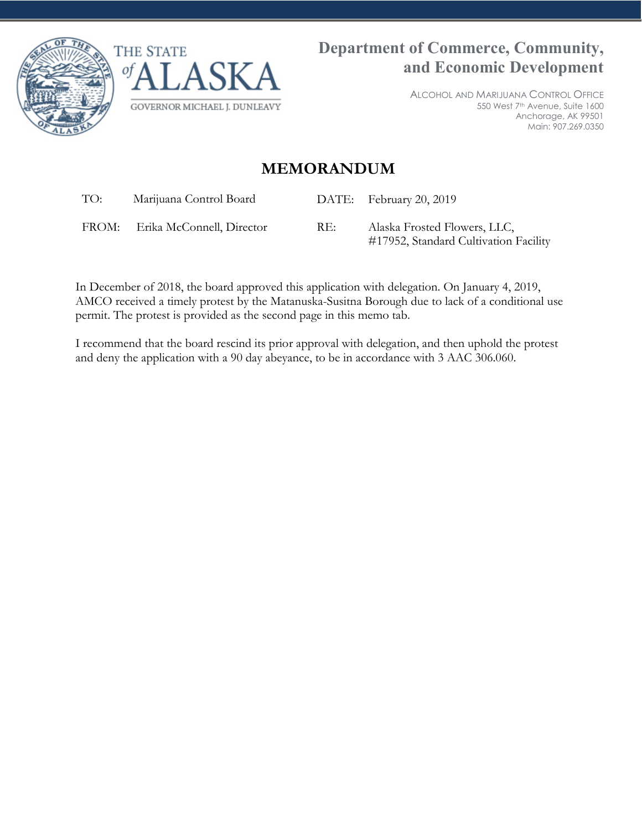



ALCOHOL AND MARIJUANA CONTROL OFFICE 550 West 7th Avenue, Suite 1600 Anchorage, AK 99501 Main: 907.269.0350

## **MEMORANDUM**

TO: Marijuana Control Board DATE: February 20, 2019

FROM: Erika McConnell, Director RE: Alaska Frosted Flowers, LLC,

#17952, Standard Cultivation Facility

In December of 2018, the board approved this application with delegation. On January 4, 2019, AMCO received a timely protest by the Matanuska-Susitna Borough due to lack of a conditional use permit. The protest is provided as the second page in this memo tab.

I recommend that the board rescind its prior approval with delegation, and then uphold the protest and deny the application with a 90 day abeyance, to be in accordance with 3 AAC 306.060.